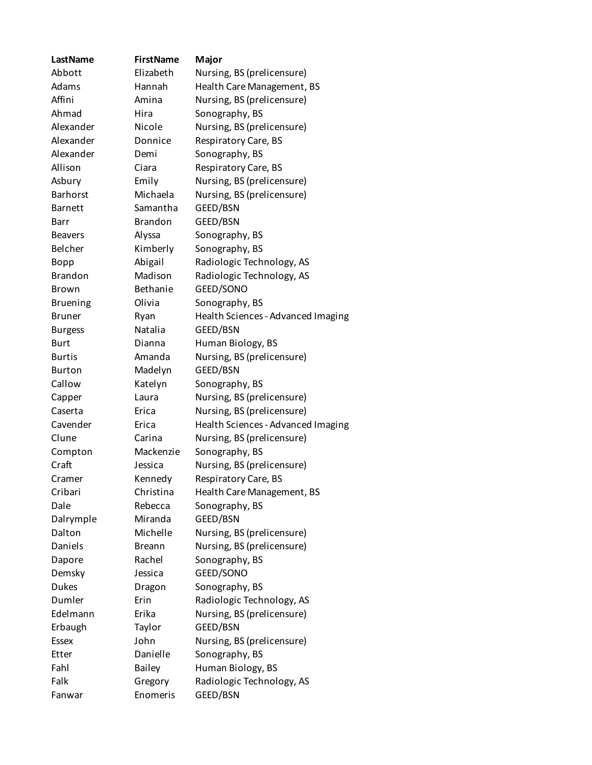| LastName        | <b>FirstName</b> | Major                              |
|-----------------|------------------|------------------------------------|
| Abbott          | Elizabeth        | Nursing, BS (prelicensure)         |
| Adams           | Hannah           | Health Care Management, BS         |
| Affini          | Amina            | Nursing, BS (prelicensure)         |
| Ahmad           | Hira             | Sonography, BS                     |
| Alexander       | Nicole           | Nursing, BS (prelicensure)         |
| Alexander       | Donnice          | Respiratory Care, BS               |
| Alexander       | Demi             | Sonography, BS                     |
| Allison         | Ciara            | Respiratory Care, BS               |
| Asbury          | Emily            | Nursing, BS (prelicensure)         |
| <b>Barhorst</b> | Michaela         | Nursing, BS (prelicensure)         |
| <b>Barnett</b>  | Samantha         | GEED/BSN                           |
| Barr            | <b>Brandon</b>   | GEED/BSN                           |
| <b>Beavers</b>  | Alyssa           | Sonography, BS                     |
| Belcher         | Kimberly         | Sonography, BS                     |
| <b>Bopp</b>     | Abigail          | Radiologic Technology, AS          |
| <b>Brandon</b>  | Madison          | Radiologic Technology, AS          |
| Brown           | Bethanie         | GEED/SONO                          |
| <b>Bruening</b> | Olivia           | Sonography, BS                     |
| <b>Bruner</b>   | Ryan             | Health Sciences - Advanced Imaging |
| <b>Burgess</b>  | Natalia          | GEED/BSN                           |
| <b>Burt</b>     | Dianna           | Human Biology, BS                  |
| <b>Burtis</b>   | Amanda           | Nursing, BS (prelicensure)         |
| <b>Burton</b>   | Madelyn          | GEED/BSN                           |
| Callow          | Katelyn          | Sonography, BS                     |
| Capper          | Laura            | Nursing, BS (prelicensure)         |
| Caserta         | Erica            | Nursing, BS (prelicensure)         |
| Cavender        | Erica            | Health Sciences - Advanced Imaging |
| Clune           | Carina           | Nursing, BS (prelicensure)         |
| Compton         | Mackenzie        | Sonography, BS                     |
| Craft           | Jessica          | Nursing, BS (prelicensure)         |
| Cramer          | Kennedy          | Respiratory Care, BS               |
| Cribari         | Christina        | Health Care Management, BS         |
| Dale            | Rebecca          | Sonography, BS                     |
| Dalrymple       | Miranda          | GEED/BSN                           |
| Dalton          | Michelle         | Nursing, BS (prelicensure)         |
| Daniels         | <b>Breann</b>    | Nursing, BS (prelicensure)         |
| Dapore          | Rachel           | Sonography, BS                     |
| Demsky          | Jessica          | GEED/SONO                          |
| <b>Dukes</b>    | Dragon           | Sonography, BS                     |
| Dumler          | Erin             | Radiologic Technology, AS          |
| Edelmann        | Erika            | Nursing, BS (prelicensure)         |
| Erbaugh         | Taylor           | GEED/BSN                           |
| <b>Essex</b>    | John             | Nursing, BS (prelicensure)         |
| Etter           | Danielle         | Sonography, BS                     |
| Fahl            | <b>Bailey</b>    | Human Biology, BS                  |
| Falk            | Gregory          | Radiologic Technology, AS          |
| Fanwar          | Enomeris         | GEED/BSN                           |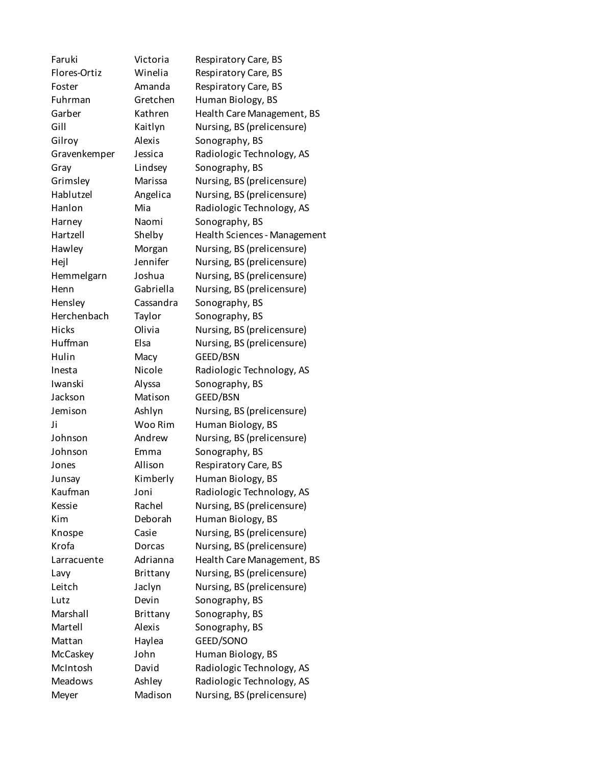Faruki Victoria Respiratory Care, BS Flores-Ortiz Winelia Respiratory Care, BS Foster **Amanda** Respiratory Care, BS Fuhrman Gretchen Human Biology, BS Garber Kathren Health Care Management, BS Gill Kaitlyn Nursing, BS (prelicensure) Gilroy **Alexis** Sonography, BS Gravenkemper Jessica Radiologic Technology, AS Gray Lindsey Sonography, BS Grimsley Marissa Nursing, BS (prelicensure) Hablutzel Angelica Nursing, BS (prelicensure) Hanlon Mia Radiologic Technology, AS Harney Naomi Sonography, BS Hartzell Shelby Health Sciences - Management Hawley Morgan Nursing, BS (prelicensure) Hejl Jennifer Nursing, BS (prelicensure) Hemmelgarn Joshua Nursing, BS (prelicensure) Henn Gabriella Nursing, BS (prelicensure) Hensley Cassandra Sonography, BS Herchenbach Taylor Sonography, BS Hicks Olivia Nursing, BS (prelicensure) Huffman Elsa Nursing, BS (prelicensure) Hulin Macy GEED/BSN Inesta Nicole Radiologic Technology, AS Iwanski Alyssa Sonography, BS Jackson Matison GEED/BSN Jemison Ashlyn Nursing, BS (prelicensure) Ji Woo Rim Human Biology, BS Johnson Andrew Nursing, BS (prelicensure) Johnson Emma Sonography, BS Jones **Allison** Respiratory Care, BS Junsay Kimberly Human Biology, BS Kaufman Joni Radiologic Technology, AS Kessie Rachel Nursing, BS (prelicensure) Kim Deborah Human Biology, BS Knospe Casie Nursing, BS (prelicensure) Krofa Dorcas Nursing, BS (prelicensure) Larracuente Adrianna Health Care Management, BS Lavy Brittany Nursing, BS (prelicensure) Leitch Jaclyn Nursing, BS (prelicensure) Lutz Devin Sonography, BS Marshall Brittany Sonography, BS Martell Alexis Sonography, BS Mattan Haylea GEED/SONO McCaskey John Human Biology, BS McIntosh David Radiologic Technology, AS Meadows Ashley Radiologic Technology, AS Meyer Madison Nursing, BS (prelicensure)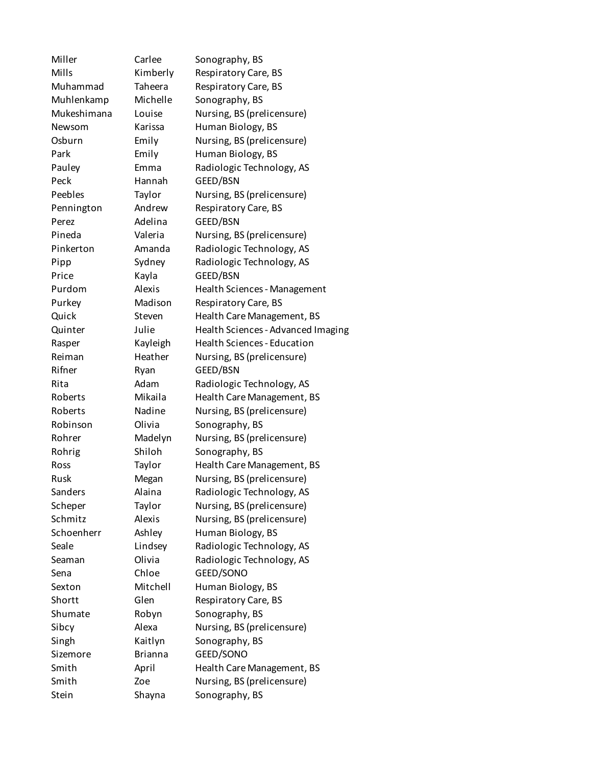Miller Carlee Sonography, BS Mills Kimberly Respiratory Care, BS Muhammad Taheera Respiratory Care, BS Muhlenkamp Michelle Sonography, BS Mukeshimana Louise Nursing, BS (prelicensure) Newsom Karissa Human Biology, BS Osburn Emily Nursing, BS (prelicensure) Park **Emily** Human Biology, BS Pauley Emma Radiologic Technology, AS Peck Hannah GEED/BSN Peebles Taylor Nursing, BS (prelicensure) Pennington Andrew Respiratory Care, BS Perez Adelina GEED/BSN Pineda Valeria Nursing, BS (prelicensure) Pinkerton Amanda Radiologic Technology, AS Pipp Sydney Radiologic Technology, AS Price **Kayla** GEED/BSN Purdom Alexis Health Sciences - Management Purkey Madison Respiratory Care, BS Quick Steven Health Care Management, BS Quinter Julie Health Sciences - Advanced Imaging Rasper Kayleigh Health Sciences - Education Reiman Heather Nursing, BS (prelicensure) Rifner Ryan GEED/BSN Rita Adam Radiologic Technology, AS Roberts Mikaila Health Care Management, BS Roberts **Nadine** Nursing, BS (prelicensure) Robinson Olivia Sonography, BS Rohrer Madelyn Nursing, BS (prelicensure) Rohrig Shiloh Sonography, BS Ross Taylor Health Care Management, BS Rusk Megan Nursing, BS (prelicensure) Sanders Alaina Radiologic Technology, AS Scheper Taylor Nursing, BS (prelicensure) Schmitz Alexis Nursing, BS (prelicensure) Schoenherr Ashley Human Biology, BS Seale **Lindsey** Radiologic Technology, AS Seaman **Olivia** Radiologic Technology, AS Sena Chloe GEED/SONO Sexton Mitchell Human Biology, BS Shortt Glen Respiratory Care, BS Shumate Robyn Sonography, BS Sibcy Alexa Nursing, BS (prelicensure) Singh Kaitlyn Sonography, BS Sizemore Brianna GEED/SONO Smith April Health Care Management, BS Smith Zoe Nursing, BS (prelicensure) Stein Shayna Sonography, BS